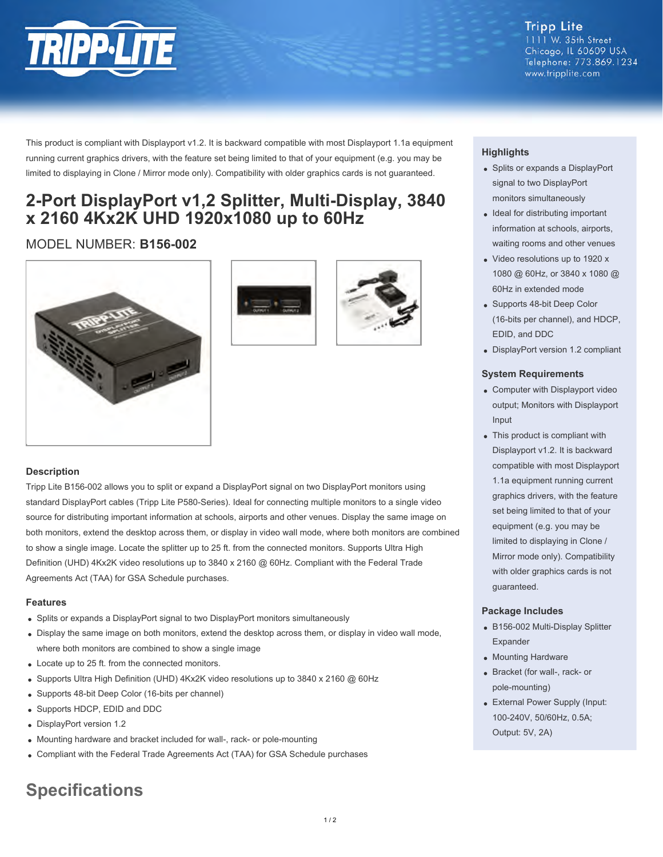

**Tripp Lite** 1111 W. 35th Street Chicago, IL 60609 USA Telephone: 773.869.1234 www.tripplite.com

This product is compliant with Displayport v1.2. It is backward compatible with most Displayport 1.1a equipment running current graphics drivers, with the feature set being limited to that of your equipment (e.g. you may be limited to displaying in Clone / Mirror mode only). Compatibility with older graphics cards is not guaranteed.

## **2-Port DisplayPort v1,2 Splitter, Multi-Display, 3840 x 2160 4Kx2K UHD 1920x1080 up to 60Hz**

### MODEL NUMBER: **B156-002**







### **Description**

Tripp Lite B156-002 allows you to split or expand a DisplayPort signal on two DisplayPort monitors using standard DisplayPort cables (Tripp Lite P580-Series). Ideal for connecting multiple monitors to a single video source for distributing important information at schools, airports and other venues. Display the same image on both monitors, extend the desktop across them, or display in video wall mode, where both monitors are combined to show a single image. Locate the splitter up to 25 ft. from the connected monitors. Supports Ultra High Definition (UHD) 4Kx2K video resolutions up to 3840 x 2160 @ 60Hz. Compliant with the Federal Trade Agreements Act (TAA) for GSA Schedule purchases.

### **Features**

- Splits or expands a DisplayPort signal to two DisplayPort monitors simultaneously
- Display the same image on both monitors, extend the desktop across them, or display in video wall mode, where both monitors are combined to show a single image
- Locate up to 25 ft. from the connected monitors.
- Supports Ultra High Definition (UHD) 4Kx2K video resolutions up to 3840 x 2160 @ 60Hz
- Supports 48-bit Deep Color (16-bits per channel)
- Supports HDCP, EDID and DDC
- DisplayPort version 1.2
- Mounting hardware and bracket included for wall-, rack- or pole-mounting
- Compliant with the Federal Trade Agreements Act (TAA) for GSA Schedule purchases

# **Specifications**

### **Highlights**

- Splits or expands a DisplayPort signal to two DisplayPort monitors simultaneously
- Ideal for distributing important information at schools, airports, waiting rooms and other venues
- Video resolutions up to 1920 x 1080 @ 60Hz, or 3840 x 1080 @ 60Hz in extended mode
- Supports 48-bit Deep Color (16-bits per channel), and HDCP, EDID, and DDC
- DisplayPort version 1.2 compliant

### **System Requirements**

- Computer with Displayport video output; Monitors with Displayport Input
- This product is compliant with Displayport v1.2. It is backward compatible with most Displayport 1.1a equipment running current graphics drivers, with the feature set being limited to that of your equipment (e.g. you may be limited to displaying in Clone / Mirror mode only). Compatibility with older graphics cards is not guaranteed.

### **Package Includes**

- B156-002 Multi-Display Splitter Expander
- Mounting Hardware
- Bracket (for wall-, rack- or pole-mounting)
- External Power Supply (Input: 100-240V, 50/60Hz, 0.5A; Output: 5V, 2A)